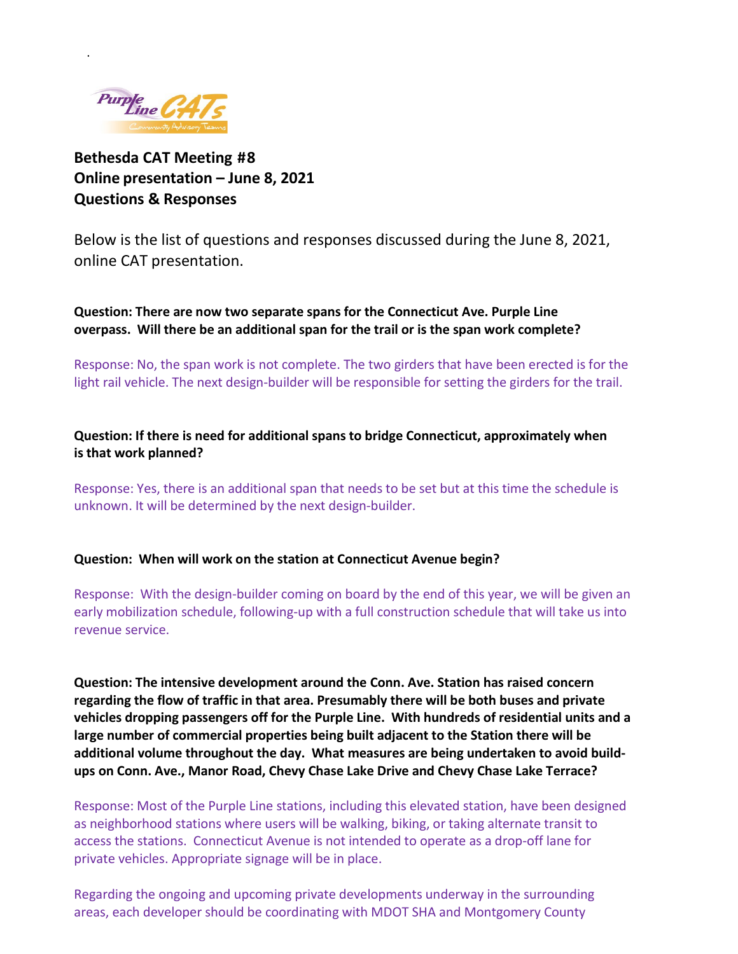

.

# **Bethesda CAT Meeting #8 Online presentation – June 8, 2021 Questions & Responses**

Below is the list of questions and responses discussed during the June 8, 2021, online CAT presentation.

**Question: There are now two separate spans for the Connecticut Ave. Purple Line overpass. Will there be an additional span for the trail or is the span work complete?**

Response: No, the span work is not complete. The two girders that have been erected is for the light rail vehicle. The next design-builder will be responsible for setting the girders for the trail.

## **Question: If there is need for additional spans to bridge Connecticut, approximately when is that work planned?**

Response: Yes, there is an additional span that needs to be set but at this time the schedule is unknown. It will be determined by the next design-builder.

#### **Question: When will work on the station at Connecticut Avenue begin?**

Response: With the design-builder coming on board by the end of this year, we will be given an early mobilization schedule, following-up with a full construction schedule that will take us into revenue service.

**Question: The intensive development around the Conn. Ave. Station has raised concern regarding the flow of traffic in that area. Presumably there will be both buses and private vehicles dropping passengers off for the Purple Line. With hundreds of residential units and a large number of commercial properties being built adjacent to the Station there will be additional volume throughout the day. What measures are being undertaken to avoid buildups on Conn. Ave., Manor Road, Chevy Chase Lake Drive and Chevy Chase Lake Terrace?**

Response: Most of the Purple Line stations, including this elevated station, have been designed as neighborhood stations where users will be walking, biking, or taking alternate transit to access the stations. Connecticut Avenue is not intended to operate as a drop-off lane for private vehicles. Appropriate signage will be in place.

Regarding the ongoing and upcoming private developments underway in the surrounding areas, each developer should be coordinating with MDOT SHA and Montgomery County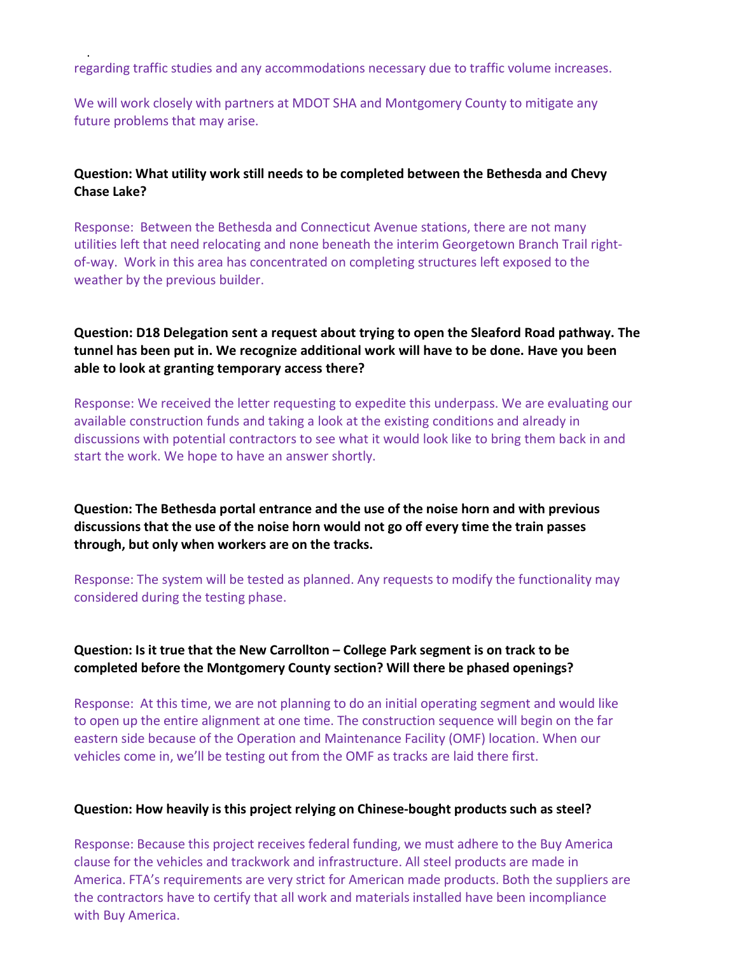regarding traffic studies and any accommodations necessary due to traffic volume increases.

.

We will work closely with partners at MDOT SHA and Montgomery County to mitigate any future problems that may arise.

#### **Question: What utility work still needs to be completed between the Bethesda and Chevy Chase Lake?**

Response: Between the Bethesda and Connecticut Avenue stations, there are not many utilities left that need relocating and none beneath the interim Georgetown Branch Trail rightof-way. Work in this area has concentrated on completing structures left exposed to the weather by the previous builder.

## **Question: D18 Delegation sent a request about trying to open the Sleaford Road pathway. The tunnel has been put in. We recognize additional work will have to be done. Have you been able to look at granting temporary access there?**

Response: We received the letter requesting to expedite this underpass. We are evaluating our available construction funds and taking a look at the existing conditions and already in discussions with potential contractors to see what it would look like to bring them back in and start the work. We hope to have an answer shortly.

**Question: The Bethesda portal entrance and the use of the noise horn and with previous discussions that the use of the noise horn would not go off every time the train passes through, but only when workers are on the tracks.**

Response: The system will be tested as planned. Any requests to modify the functionality may considered during the testing phase.

## **Question: Is it true that the New Carrollton – College Park segment is on track to be completed before the Montgomery County section? Will there be phased openings?**

Response: At this time, we are not planning to do an initial operating segment and would like to open up the entire alignment at one time. The construction sequence will begin on the far eastern side because of the Operation and Maintenance Facility (OMF) location. When our vehicles come in, we'll be testing out from the OMF as tracks are laid there first.

#### **Question: How heavily is this project relying on Chinese-bought products such as steel?**

Response: Because this project receives federal funding, we must adhere to the Buy America clause for the vehicles and trackwork and infrastructure. All steel products are made in America. FTA's requirements are very strict for American made products. Both the suppliers are the contractors have to certify that all work and materials installed have been incompliance with Buy America.